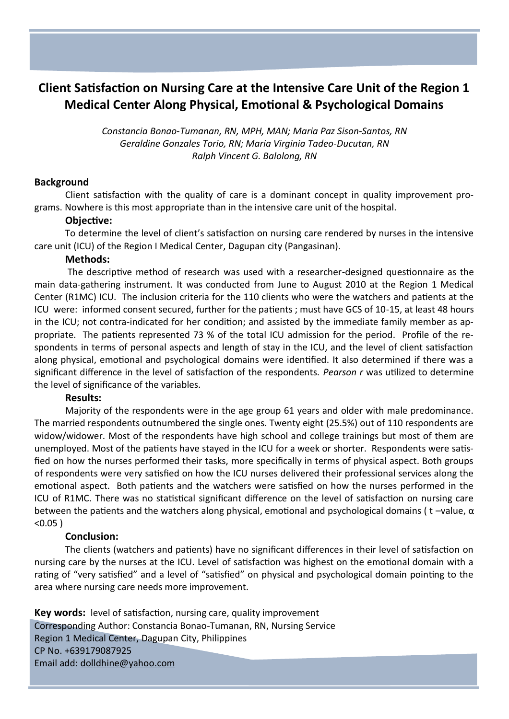# **Client Satisfaction on Nursing Care at the Intensive Care Unit of the Region 1 Medical Center Along Physical, Emotional & Psychological Domains**

*Constancia Bonao-Tumanan, RN, MPH, MAN; Maria Paz Sison-Santos, RN Geraldine Gonzales Torio, RN; Maria Virginia Tadeo-Ducutan, RN Ralph Vincent G. Balolong, RN*

# **Background**

Client satisfaction with the quality of care is a dominant concept in quality improvement programs. Nowhere is this most appropriate than in the intensive care unit of the hospital.

### **Objective:**

To determine the level of client's satisfaction on nursing care rendered by nurses in the intensive care unit (ICU) of the Region I Medical Center, Dagupan city (Pangasinan).

# **Methods:**

The descriptive method of research was used with a researcher-designed questionnaire as the main data-gathering instrument. It was conducted from June to August 2010 at the Region 1 Medical Center (R1MC) ICU. The inclusion criteria for the 110 clients who were the watchers and patients at the ICU were: informed consent secured, further for the patients ; must have GCS of 10-15, at least 48 hours in the ICU; not contra-indicated for her condition; and assisted by the immediate family member as appropriate. The patients represented 73 % of the total ICU admission for the period. Profile of the respondents in terms of personal aspects and length of stay in the ICU, and the level of client satisfaction along physical, emotional and psychological domains were identified. It also determined if there was a significant difference in the level of satisfaction of the respondents. *Pearson r* was utilized to determine the level of significance of the variables.

#### **Results:**

Majority of the respondents were in the age group 61 years and older with male predominance. The married respondents outnumbered the single ones. Twenty eight (25.5%) out of 110 respondents are widow/widower. Most of the respondents have high school and college trainings but most of them are unemployed. Most of the patients have stayed in the ICU for a week or shorter. Respondents were satisfied on how the nurses performed their tasks, more specifically in terms of physical aspect. Both groups of respondents were very satisfied on how the ICU nurses delivered their professional services along the emotional aspect. Both patients and the watchers were satisfied on how the nurses performed in the ICU of R1MC. There was no statistical significant difference on the level of satisfaction on nursing care between the patients and the watchers along physical, emotional and psychological domains ( t –value, α <0.05 )

# **Conclusion:**

The clients (watchers and patients) have no significant differences in their level of satisfaction on nursing care by the nurses at the ICU. Level of satisfaction was highest on the emotional domain with a rating of "very satisfied" and a level of "satisfied" on physical and psychological domain pointing to the area where nursing care needs more improvement.

**Key words:** level of satisfaction, nursing care, quality improvement Corresponding Author: Constancia Bonao-Tumanan, RN, Nursing Service Region 1 Medical Center, Dagupan City, Philippines CP No. +639179087925 Email add: dolldhine@yahoo.com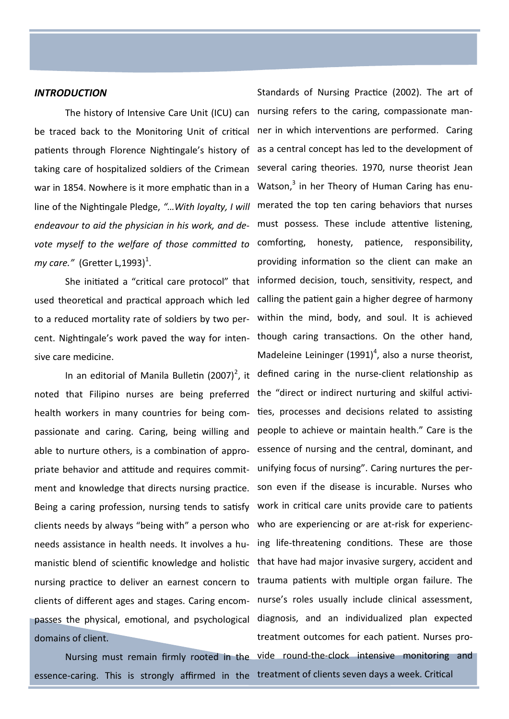#### *INTRODUCTION*

The history of Intensive Care Unit (ICU) can be traced back to the Monitoring Unit of critical patients through Florence Nightingale's history of taking care of hospitalized soldiers of the Crimean war in 1854. Nowhere is it more emphatic than in a line of the Nightingale Pledge, *"…With loyalty, I will endeavour to aid the physician in his work, and devote myself to the welfare of those committed to my care."* (Gretter L,1993) $^1$ .

to a reduced mortality rate of soldiers by two persive care medicine.

health workers in many countries for being compassionate and caring. Caring, being willing and able to nurture others, is a combination of appropriate behavior and attitude and requires commitment and knowledge that directs nursing practice. Being a caring profession, nursing tends to satisfy clients needs by always "being with" a person who needs assistance in health needs. It involves a huclients of different ages and stages. Caring encompasses the physical, emotional, and psychological domains of client.

essence-caring. This is strongly affirmed in the treatment of clients seven days a week. Critical

She initiated a "critical care protocol" that informed decision, touch, sensitivity, respect, and used theoretical and practical approach which led calling the patient gain a higher degree of harmony cent. Nightingale's work paved the way for inten-though caring transactions. On the other hand, In an editorial of Manila Bulletin (2007)<sup>2</sup>, it defined caring in the nurse-client relationship as noted that Filipino nurses are being preferred the "direct or indirect nurturing and skilful activimanistic blend of scientific knowledge and holistic that have had major invasive surgery, accident and nursing practice to deliver an earnest concern to trauma patients with multiple organ failure. The Nursing must remain firmly rooted in the vide round-the-clock intensive monitoring and Standards of Nursing Practice (2002). The art of nursing refers to the caring, compassionate manner in which interventions are performed. Caring as a central concept has led to the development of several caring theories. 1970, nurse theorist Jean Watson,<sup>3</sup> in her Theory of Human Caring has enumerated the top ten caring behaviors that nurses must possess. These include attentive listening, honesty, patience, responsibility, providing information so the client can make an within the mind, body, and soul. It is achieved Madeleine Leininger  $(1991)^4$ , also a nurse theorist, ties, processes and decisions related to assisting people to achieve or maintain health." Care is the essence of nursing and the central, dominant, and unifying focus of nursing". Caring nurtures the person even if the disease is incurable. Nurses who work in critical care units provide care to patients who are experiencing or are at-risk for experiencing life-threatening conditions. These are those nurse's roles usually include clinical assessment, diagnosis, and an individualized plan expected treatment outcomes for each patient. Nurses pro-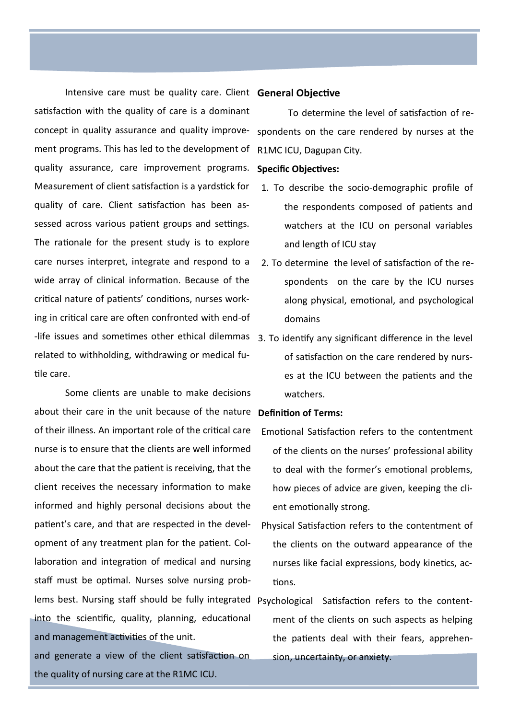Intensive care must be quality care. Client **General Objective** satisfaction with the quality of care is a dominant concept in quality assurance and quality improvement programs. This has led to the development of quality assurance, care improvement programs. Measurement of client satisfaction is a yardstick for quality of care. Client satisfaction has been assessed across various patient groups and settings. The rationale for the present study is to explore care nurses interpret, integrate and respond to a wide array of clinical information. Because of the critical nature of patients' conditions, nurses working in critical care are often confronted with end-of -life issues and sometimes other ethical dilemmas 3. To identify any significant difference in the level related to withholding, withdrawing or medical futile care.

Some clients are unable to make decisions about their care in the unit because of the nature **Definition of Terms:** of their illness. An important role of the critical care nurse is to ensure that the clients are well informed about the care that the patient is receiving, that the client receives the necessary information to make informed and highly personal decisions about the patient's care, and that are respected in the development of any treatment plan for the patient. Collaboration and integration of medical and nursing staff must be optimal. Nurses solve nursing problems best. Nursing staff should be fully integrated Psychological Satisfaction refers to the contentinto the scientific, quality, planning, educational and management activities of the unit. and generate a view of the client satisfaction on

the quality of nursing care at the R1MC ICU.

To determine the level of satisfaction of respondents on the care rendered by nurses at the R1MC ICU, Dagupan City.

#### **Specific Objectives:**

- 1. To describe the socio-demographic profile of the respondents composed of patients and watchers at the ICU on personal variables and length of ICU stay
- 2. To determine the level of satisfaction of the respondents on the care by the ICU nurses along physical, emotional, and psychological domains
- of satisfaction on the care rendered by nurses at the ICU between the patients and the watchers.

- Emotional Satisfaction refers to the contentment of the clients on the nurses' professional ability to deal with the former's emotional problems, how pieces of advice are given, keeping the client emotionally strong.
- Physical Satisfaction refers to the contentment of the clients on the outward appearance of the nurses like facial expressions, body kinetics, actions.

ment of the clients on such aspects as helping the patients deal with their fears, apprehension, uncertainty, or anxiety.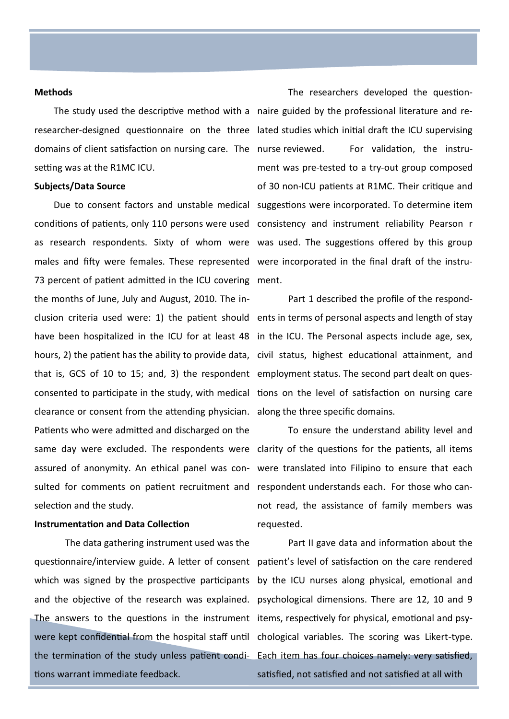#### **Methods**

researcher-designed questionnaire on the three lated studies which initial draft the ICU supervising domains of client satisfaction on nursing care. The nurse reviewed. setting was at the R1MC ICU.

#### **Subjects/Data Source**

conditions of patients, only 110 persons were used consistency and instrument reliability Pearson r as research respondents. Sixty of whom were was used. The suggestions offered by this group males and fifty were females. These represented were incorporated in the final draft of the instru-73 percent of patient admitted in the ICU covering ment. the months of June, July and August, 2010. The inclusion criteria used were: 1) the patient should ents in terms of personal aspects and length of stay have been hospitalized in the ICU for at least 48 in the ICU. The Personal aspects include age, sex, hours, 2) the patient has the ability to provide data, civil status, highest educational attainment, and that is, GCS of 10 to 15; and, 3) the respondent employment status. The second part dealt on quesconsented to participate in the study, with medical tions on the level of satisfaction on nursing care clearance or consent from the attending physician. along the three specific domains. Patients who were admitted and discharged on the same day were excluded. The respondents were clarity of the questions for the patients, all items assured of anonymity. An ethical panel was con-were translated into Filipino to ensure that each sulted for comments on patient recruitment and respondent understands each. For those who canselection and the study.

#### **Instrumentation and Data Collection**

The data gathering instrument used was the The answers to the questions in the instrument items, respectively for physical, emotional and psytions warrant immediate feedback.

The study used the descriptive method with a naire guided by the professional literature and re-Due to consent factors and unstable medical suggestions were incorporated. To determine item The researchers developed the question-For validation, the instrument was pre-tested to a try-out group composed of 30 non-ICU patients at R1MC. Their critique and

Part 1 described the profile of the respond-

To ensure the understand ability level and not read, the assistance of family members was requested.

questionnaire/interview guide. A letter of consent patient's level of satisfaction on the care rendered which was signed by the prospective participants by the ICU nurses along physical, emotional and and the objective of the research was explained. psychological dimensions. There are 12, 10 and 9 were kept confidential from the hospital staff until chological variables. The scoring was Likert-type. the termination of the study unless patient condi-Each item has four choices namely: very satisfied, Part II gave data and information about the satisfied, not satisfied and not satisfied at all with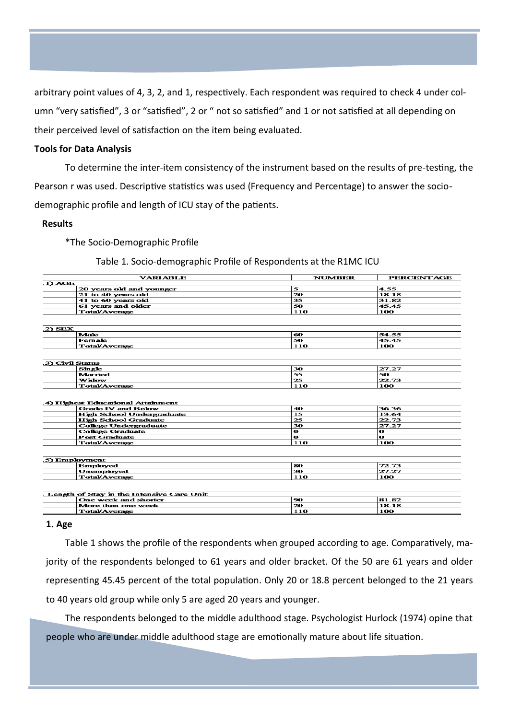arbitrary point values of 4, 3, 2, and 1, respectively. Each respondent was required to check 4 under column "very satisfied", 3 or "satisfied", 2 or " not so satisfied" and 1 or not satisfied at all depending on their perceived level of satisfaction on the item being evaluated.

#### **Tools for Data Analysis**

To determine the inter-item consistency of the instrument based on the results of pre-testing, the Pearson r was used. Descriptive statistics was used (Frequency and Percentage) to answer the sociodemographic profile and length of ICU stay of the patients.

#### **Results**

\*The Socio-Demographic Profile

#### Table 1. Socio-demographic Profile of Respondents at the R1MC ICU

|                                   | <b>VARIABLE</b>                           | <b>NUMBER</b> | <b>PERCENTAGE</b> |
|-----------------------------------|-------------------------------------------|---------------|-------------------|
| 1) AGE                            |                                           |               |                   |
|                                   | 20 years old and younger                  | 5             | 4.55              |
| 21 to 40 years old                |                                           | 20            | 18.18             |
| 41 to 60 years old                |                                           | 35            | 31.82             |
| 61 years and older                |                                           | 50            | 45.45             |
| <b>Total/Average</b>              |                                           | 110           | 100               |
|                                   |                                           |               |                   |
|                                   |                                           |               |                   |
| 2) SEX                            |                                           |               |                   |
| Male                              |                                           | 60            | 54.55             |
| Female                            |                                           | 50            | 45.45             |
| <b>Total/Average</b>              |                                           | 110           | 100               |
|                                   |                                           |               |                   |
|                                   |                                           |               |                   |
| 3) Civil Status                   |                                           |               |                   |
| Single                            |                                           | 30            | 27.27             |
| Married                           |                                           | 55            | 50                |
| Widow                             |                                           | 25            | 22.73             |
| <b>Total/Average</b>              |                                           | 110           | 100               |
| 4) Highest Educational Attainment |                                           |               |                   |
|                                   | <b>Grade IV and Below</b>                 | 40            | 36.36             |
|                                   | <b>High School Undergraduate</b>          | 15            | 13.64             |
|                                   | <b>High School Graduate</b>               | 25            | 22.73             |
|                                   | <b>College Undergraduate</b>              | 30.           | 27.27             |
| <b>College Graduate</b>           |                                           | $\bullet$     | $\bullet$         |
| <b>Post Graduate</b>              |                                           | $\mathbf o$   | $\mathbf o$       |
| <b>Total/Average</b>              |                                           | 110           | 100               |
|                                   |                                           |               |                   |
|                                   |                                           |               |                   |
| 5) Employment                     |                                           |               |                   |
| <b>Employed</b>                   |                                           | 80            | 72.73             |
| <b>Unemployed</b>                 |                                           | 30            | 27.27             |
| <b>Total/Average</b>              |                                           | 110           | 100               |
|                                   |                                           |               |                   |
|                                   |                                           |               |                   |
|                                   | Length of Stay in the Intensive Care Unit |               |                   |
|                                   | One week and shorter                      | 90            | 81.82             |
|                                   | More than one week                        | 20            | 18.18             |
| <b>Total/Average</b>              |                                           | 110           | 100               |

#### **1. Age**

Table 1 shows the profile of the respondents when grouped according to age. Comparatively, majority of the respondents belonged to 61 years and older bracket. Of the 50 are 61 years and older representing 45.45 percent of the total population. Only 20 or 18.8 percent belonged to the 21 years to 40 years old group while only 5 are aged 20 years and younger.

The respondents belonged to the middle adulthood stage. Psychologist Hurlock (1974) opine that people who are under middle adulthood stage are emotionally mature about life situation.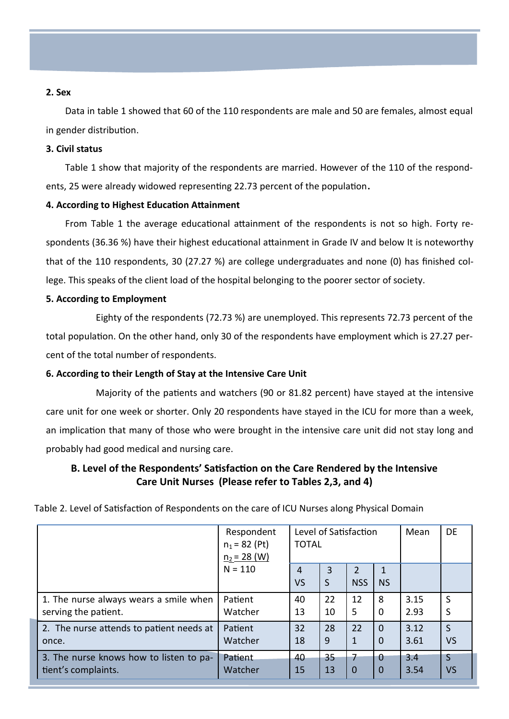### **2. Sex**

Data in table 1 showed that 60 of the 110 respondents are male and 50 are females, almost equal in gender distribution.

#### **3. Civil status**

Table 1 show that majority of the respondents are married. However of the 110 of the respondents, 25 were already widowed representing 22.73 percent of the population**.**

### **4. According to Highest Education Attainment**

From Table 1 the average educational attainment of the respondents is not so high. Forty respondents (36.36 %) have their highest educational attainment in Grade IV and below It is noteworthy that of the 110 respondents, 30 (27.27 %) are college undergraduates and none (0) has finished college. This speaks of the client load of the hospital belonging to the poorer sector of society.

#### **5. According to Employment**

Eighty of the respondents (72.73 %) are unemployed. This represents 72.73 percent of the total population. On the other hand, only 30 of the respondents have employment which is 27.27 percent of the total number of respondents.

#### **6. According to their Length of Stay at the Intensive Care Unit**

Majority of the patients and watchers (90 or 81.82 percent) have stayed at the intensive care unit for one week or shorter. Only 20 respondents have stayed in the ICU for more than a week, an implication that many of those who were brought in the intensive care unit did not stay long and probably had good medical and nursing care.

# **B. Level of the Respondents' Satisfaction on the Care Rendered by the Intensive Care Unit Nurses (Please refer to Tables 2,3, and 4)**

|                                          | Respondent<br>$n_1 = 82$ (Pt)<br>$n_2 = 28$ (W) | Level of Satisfaction<br><b>TOTAL</b> |        |                             |           | Mean | DE |
|------------------------------------------|-------------------------------------------------|---------------------------------------|--------|-----------------------------|-----------|------|----|
|                                          | $N = 110$                                       | 4<br>VS                               | 3<br>S | $\mathcal{P}$<br><b>NSS</b> | <b>NS</b> |      |    |
| 1. The nurse always wears a smile when   | Patient                                         | 40                                    | 22     | 12                          | 8         | 3.15 | S  |
| serving the patient.                     | Watcher                                         | 13                                    | 10     | 5                           | $\Omega$  | 2.93 | S  |
| 2. The nurse attends to patient needs at | Patient                                         | 32                                    | 28     | 22                          | $\Omega$  | 3.12 | S  |
| once.                                    | Watcher                                         | 18                                    | 9      | 1                           | 0         | 3.61 | VS |
| 3. The nurse knows how to listen to pa-  | Patient                                         | 40                                    | 35     | 7                           | $\Omega$  | 3.4  | S  |
| tient's complaints.                      | Watcher                                         | 15                                    | 13     | $\mathbf 0$                 | 0         | 3.54 | VS |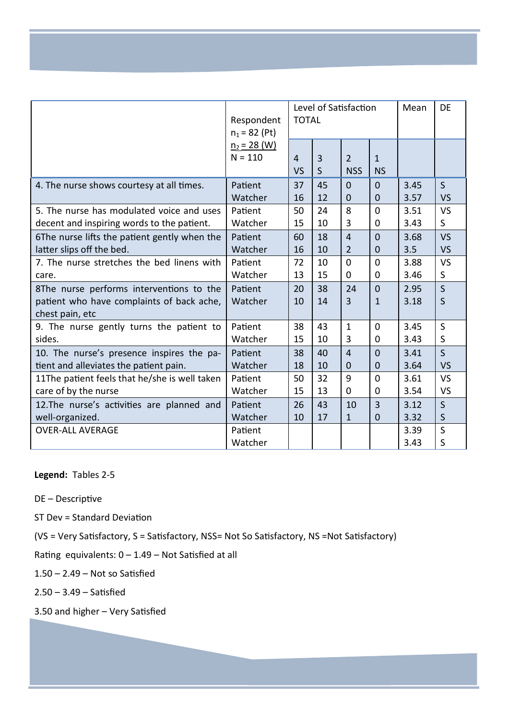|                                                                                                          | Respondent<br>$n_1 = 82$ (Pt) | Level of Satisfaction<br><b>TOTAL</b> |          |                              |                                | Mean         | <b>DE</b>         |
|----------------------------------------------------------------------------------------------------------|-------------------------------|---------------------------------------|----------|------------------------------|--------------------------------|--------------|-------------------|
|                                                                                                          | $n_2$ = 28 (W)<br>$N = 110$   | 4<br>VS                               | 3<br>S   | $\overline{2}$<br><b>NSS</b> | $\mathbf{1}$<br><b>NS</b>      |              |                   |
| 4. The nurse shows courtesy at all times.                                                                | Patient                       | 37                                    | 45       | $\overline{0}$               | $\overline{0}$                 | 3.45         | $\mathsf{S}$      |
|                                                                                                          | Watcher                       | 16                                    | 12       | $\overline{0}$               | $\overline{0}$                 | 3.57         | <b>VS</b>         |
| 5. The nurse has modulated voice and uses                                                                | Patient                       | 50                                    | 24       | 8                            | $\Omega$                       | 3.51         | <b>VS</b>         |
| decent and inspiring words to the patient.                                                               | Watcher                       | 15                                    | 10       | 3                            | 0                              | 3.43         | S                 |
| 6The nurse lifts the patient gently when the                                                             | Patient                       | 60                                    | 18       | $\overline{4}$               | $\Omega$                       | 3.68         | <b>VS</b>         |
| latter slips off the bed.                                                                                | Watcher                       | 16                                    | 10       | $\overline{2}$               | $\mathbf{0}$                   | 3.5          | <b>VS</b>         |
| 7. The nurse stretches the bed linens with                                                               | Patient                       | 72                                    | 10       | $\overline{0}$               | $\Omega$                       | 3.88         | <b>VS</b>         |
| care.                                                                                                    | Watcher                       | 13                                    | 15       | $\mathbf 0$                  | 0                              | 3.46         | S                 |
| 8The nurse performs interventions to the<br>patient who have complaints of back ache,<br>chest pain, etc | Patient<br>Watcher            | 20<br>10                              | 38<br>14 | 24<br>$\overline{3}$         | $\overline{0}$<br>$\mathbf{1}$ | 2.95<br>3.18 | $\mathsf{S}$<br>S |
| 9. The nurse gently turns the patient to                                                                 | Patient                       | 38                                    | 43       | $\mathbf{1}$                 | $\overline{0}$                 | 3.45         | S                 |
| sides.                                                                                                   | Watcher                       | 15                                    | 10       | 3                            | $\overline{0}$                 | 3.43         | S                 |
| 10. The nurse's presence inspires the pa-                                                                | Patient                       | 38                                    | 40       | $\overline{4}$               | $\overline{0}$                 | 3.41         | $\mathsf{S}$      |
| tient and alleviates the patient pain.                                                                   | Watcher                       | 18                                    | 10       | $\mathbf 0$                  | $\overline{0}$                 | 3.64         | <b>VS</b>         |
| 11The patient feels that he/she is well taken                                                            | Patient                       | 50                                    | 32       | 9                            | $\overline{0}$                 | 3.61         | <b>VS</b>         |
| care of by the nurse                                                                                     | Watcher                       | 15                                    | 13       | $\mathbf 0$                  | $\mathbf 0$                    | 3.54         | <b>VS</b>         |
| 12. The nurse's activities are planned and                                                               | Patient                       | 26                                    | 43       | 10                           | 3                              | 3.12         | $\mathsf{S}$      |
| well-organized.                                                                                          | Watcher                       | 10                                    | 17       | 1                            | $\overline{0}$                 | 3.32         | S                 |
| <b>OVER-ALL AVERAGE</b>                                                                                  | Patient<br>Watcher            |                                       |          |                              |                                | 3.39<br>3.43 | S<br>S            |

# **Legend:** Tables 2-5

DE – Descriptive

ST Dev = Standard Deviation

(VS = Very Satisfactory, S = Satisfactory, NSS= Not So Satisfactory, NS =Not Satisfactory)

Rating equivalents:  $0 - 1.49 -$  Not Satisfied at all

1.50 – 2.49 – Not so Satisfied

2.50 – 3.49 – Satisfied

3.50 and higher – Very Satisfied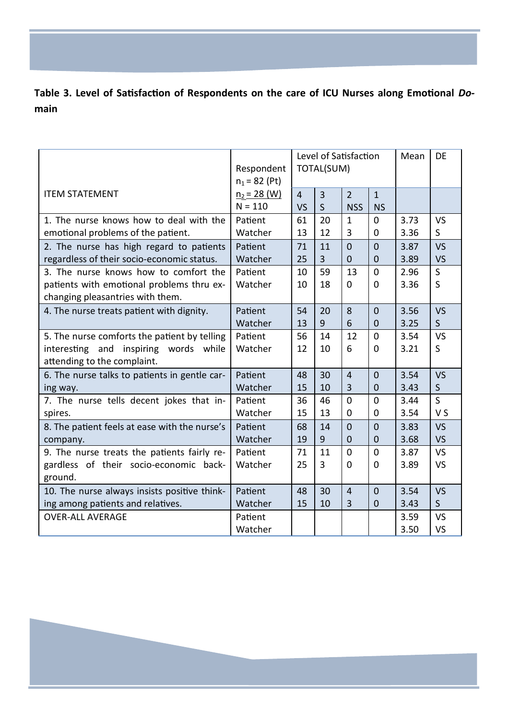**Table 3. Level of Satisfaction of Respondents on the care of ICU Nurses along Emotional** *Do***main**

|                                                                               | Respondent<br>$n_1 = 82$ (Pt) | Level of Satisfaction<br><b>TOTAL(SUM)</b> |                   |                              |                           | Mean | <b>DE</b>    |
|-------------------------------------------------------------------------------|-------------------------------|--------------------------------------------|-------------------|------------------------------|---------------------------|------|--------------|
| <b>ITEM STATEMENT</b>                                                         | $n_2$ = 28 (W)<br>$N = 110$   | $\overline{4}$<br><b>VS</b>                | 3<br>$\mathsf{S}$ | $\overline{2}$<br><b>NSS</b> | $\mathbf{1}$<br><b>NS</b> |      |              |
| 1. The nurse knows how to deal with the                                       | Patient                       | 61                                         | 20                | $\mathbf{1}$                 | $\mathbf 0$               | 3.73 | <b>VS</b>    |
| emotional problems of the patient.                                            | Watcher                       | 13                                         | 12                | 3                            | $\mathbf 0$               | 3.36 | S            |
| 2. The nurse has high regard to patients                                      | Patient                       | 71                                         | 11                | $\overline{0}$               | $\overline{0}$            | 3.87 | <b>VS</b>    |
| regardless of their socio-economic status.                                    | Watcher                       | 25                                         | $\overline{3}$    | $\overline{0}$               | $\mathbf 0$               | 3.89 | <b>VS</b>    |
| 3. The nurse knows how to comfort the                                         | Patient                       | 10                                         | 59                | 13                           | $\overline{0}$            | 2.96 | $\mathsf{S}$ |
| patients with emotional problems thru ex-<br>changing pleasantries with them. | Watcher                       | 10                                         | 18                | $\overline{0}$               | $\overline{0}$            | 3.36 | S            |
| 4. The nurse treats patient with dignity.                                     | Patient                       | 54                                         | 20                | 8                            | $\overline{0}$            | 3.56 | <b>VS</b>    |
|                                                                               | Watcher                       | 13                                         | 9                 | 6                            | $\mathbf{0}$              | 3.25 | $\mathsf{S}$ |
| 5. The nurse comforts the patient by telling                                  | Patient                       | 56                                         | 14                | 12                           | $\Omega$                  | 3.54 | <b>VS</b>    |
| interesting and inspiring words while                                         | Watcher                       | 12                                         | 10                | 6                            | $\Omega$                  | 3.21 | S            |
| attending to the complaint.                                                   |                               |                                            |                   |                              |                           |      |              |
| 6. The nurse talks to patients in gentle car-                                 | Patient                       | 48                                         | 30                | $\overline{4}$               | $\overline{0}$            | 3.54 | <b>VS</b>    |
| ing way.                                                                      | Watcher                       | 15                                         | 10                | 3                            | $\mathbf 0$               | 3.43 | $\mathsf{S}$ |
| 7. The nurse tells decent jokes that in-                                      | Patient                       | 36                                         | 46                | $\overline{0}$               | $\overline{0}$            | 3.44 | $\mathsf{S}$ |
| spires.                                                                       | Watcher                       | 15                                         | 13                | 0                            | 0                         | 3.54 | V S          |
| 8. The patient feels at ease with the nurse's                                 | Patient                       | 68                                         | 14                | $\overline{0}$               | $\overline{0}$            | 3.83 | <b>VS</b>    |
| company.                                                                      | Watcher                       | 19                                         | 9                 | $\mathbf 0$                  | $\mathbf 0$               | 3.68 | <b>VS</b>    |
| 9. The nurse treats the patients fairly re-                                   | Patient                       | 71                                         | 11                | $\overline{0}$               | $\mathbf 0$               | 3.87 | <b>VS</b>    |
| gardless of their socio-economic back-                                        | Watcher                       | 25                                         | 3                 | $\Omega$                     | $\mathbf 0$               | 3.89 | <b>VS</b>    |
| ground.                                                                       |                               |                                            |                   |                              |                           |      |              |
| 10. The nurse always insists positive think-                                  | Patient                       | 48                                         | 30                | $\overline{4}$               | $\Omega$                  | 3.54 | <b>VS</b>    |
| ing among patients and relatives.                                             | Watcher                       | 15                                         | 10                | 3                            | $\mathbf 0$               | 3.43 | $\mathsf{S}$ |
| <b>OVER-ALL AVERAGE</b>                                                       | Patient                       |                                            |                   |                              |                           | 3.59 | <b>VS</b>    |
|                                                                               | Watcher                       |                                            |                   |                              |                           | 3.50 | <b>VS</b>    |

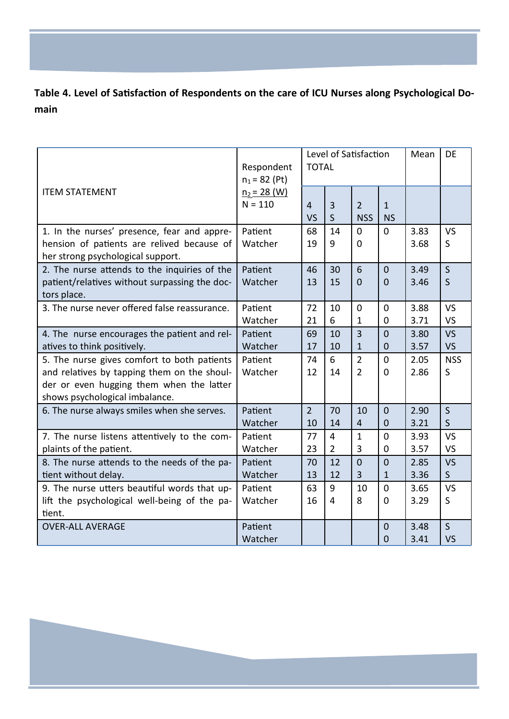**Table 4. Level of Satisfaction of Respondents on the care of ICU Nurses along Psychological Domain**

|                                                                                                                                                                          | Respondent<br>$n_1 = 82$ (Pt) | Level of Satisfaction<br><b>TOTAL</b> |                                  |                                  |                                  | Mean         | <b>DE</b>                    |
|--------------------------------------------------------------------------------------------------------------------------------------------------------------------------|-------------------------------|---------------------------------------|----------------------------------|----------------------------------|----------------------------------|--------------|------------------------------|
| <b>ITEM STATEMENT</b>                                                                                                                                                    | $n_2 = 28$ (W)<br>$N = 110$   | 4<br><b>VS</b>                        | $\overline{3}$<br>S              | $\overline{2}$<br><b>NSS</b>     | $\mathbf{1}$<br><b>NS</b>        |              |                              |
| 1. In the nurses' presence, fear and appre-<br>hension of patients are relived because of<br>her strong psychological support.                                           | Patient<br>Watcher            | 68<br>19                              | 14<br>9                          | $\Omega$<br>$\overline{0}$       | $\Omega$                         | 3.83<br>3.68 | <b>VS</b><br>S.              |
| 2. The nurse attends to the inquiries of the<br>patient/relatives without surpassing the doc-<br>tors place.                                                             | Patient<br>Watcher            | 46<br>13                              | 30<br>15                         | 6<br>$\mathbf 0$                 | $\overline{0}$<br>$\overline{0}$ | 3.49<br>3.46 | $\mathsf{S}$<br>$\mathsf{S}$ |
| 3. The nurse never offered false reassurance.                                                                                                                            | Patient<br>Watcher            | 72<br>21                              | 10<br>6                          | $\overline{0}$<br>$\mathbf{1}$   | $\mathbf 0$<br>$\mathbf 0$       | 3.88<br>3.71 | <b>VS</b><br><b>VS</b>       |
| 4. The nurse encourages the patient and rel-<br>atives to think positively.                                                                                              | Patient<br>Watcher            | 69<br>17                              | 10<br>10                         | $\overline{3}$<br>$\mathbf{1}$   | $\overline{0}$<br>$\mathbf 0$    | 3.80<br>3.57 | <b>VS</b><br><b>VS</b>       |
| 5. The nurse gives comfort to both patients<br>and relatives by tapping them on the shoul-<br>der or even hugging them when the latter<br>shows psychological imbalance. | Patient<br>Watcher            | 74<br>12                              | 6<br>14                          | $\overline{2}$<br>$\overline{2}$ | 0<br>$\Omega$                    | 2.05<br>2.86 | <b>NSS</b><br>S              |
| 6. The nurse always smiles when she serves.                                                                                                                              | Patient<br>Watcher            | $\overline{2}$<br>10                  | 70<br>14                         | 10<br>$\overline{4}$             | $\overline{0}$<br>$\mathbf 0$    | 2.90<br>3.21 | $\mathsf{S}$<br>$\mathsf{S}$ |
| 7. The nurse listens attentively to the com-<br>plaints of the patient.                                                                                                  | Patient<br>Watcher            | 77<br>23                              | $\overline{4}$<br>$\overline{2}$ | $\mathbf{1}$<br>3                | $\mathbf 0$<br>$\mathbf 0$       | 3.93<br>3.57 | <b>VS</b><br><b>VS</b>       |
| 8. The nurse attends to the needs of the pa-<br>tient without delay.                                                                                                     | Patient<br>Watcher            | 70<br>13                              | 12<br>12                         | $\overline{0}$<br>$\overline{3}$ | $\overline{0}$<br>$\mathbf{1}$   | 2.85<br>3.36 | <b>VS</b><br>$\mathsf{S}$    |
| 9. The nurse utters beautiful words that up-<br>lift the psychological well-being of the pa-<br>tient.                                                                   | Patient<br>Watcher            | 63<br>16                              | 9<br>4                           | 10<br>8                          | $\mathbf 0$<br>0                 | 3.65<br>3.29 | <b>VS</b><br>S               |
| <b>OVER-ALL AVERAGE</b>                                                                                                                                                  | Patient<br>Watcher            |                                       |                                  |                                  | $\overline{0}$<br>$\overline{0}$ | 3.48<br>3.41 | $\mathsf{S}$<br>VS           |

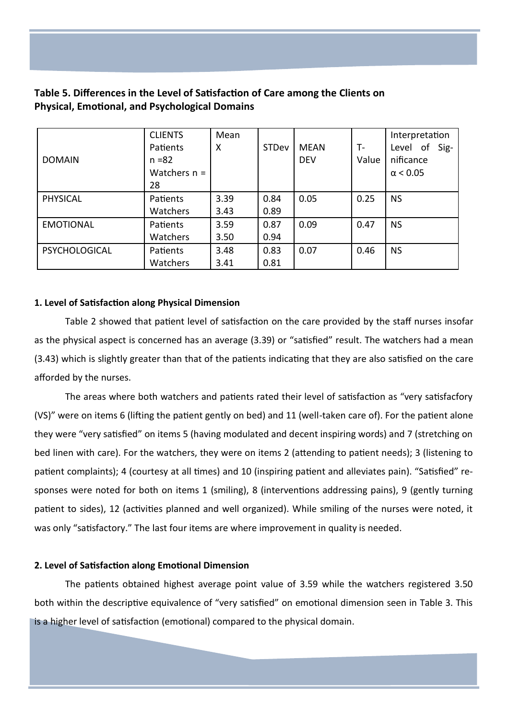# **Table 5. Differences in the Level of Satisfaction of Care among the Clients on Physical, Emotional, and Psychological Domains**

| <b>DOMAIN</b>        | <b>CLIENTS</b><br>Patients<br>$n = 82$<br>Watchers $n =$<br>28 | Mean<br>X | <b>STDev</b> | <b>MFAN</b><br><b>DEV</b> | $T -$<br>Value | Interpretation<br>Level of Sig-<br>nificance<br>$\alpha$ < 0.05 |
|----------------------|----------------------------------------------------------------|-----------|--------------|---------------------------|----------------|-----------------------------------------------------------------|
| <b>PHYSICAL</b>      | Patients                                                       | 3.39      | 0.84<br>0.89 | 0.05                      | 0.25           | <b>NS</b>                                                       |
|                      | Watchers                                                       | 3.43      |              |                           |                |                                                                 |
| <b>EMOTIONAL</b>     | Patients                                                       | 3.59      | 0.87         | 0.09                      | 0.47           | <b>NS</b>                                                       |
|                      | Watchers                                                       | 3.50      | 0.94         |                           |                |                                                                 |
| <b>PSYCHOLOGICAL</b> | Patients                                                       | 3.48      | 0.83         | 0.07                      | 0.46           | <b>NS</b>                                                       |
|                      | Watchers                                                       | 3.41      | 0.81         |                           |                |                                                                 |

# **1. Level of Satisfaction along Physical Dimension**

Table 2 showed that patient level of satisfaction on the care provided by the staff nurses insofar as the physical aspect is concerned has an average (3.39) or "satisfied" result. The watchers had a mean (3.43) which is slightly greater than that of the patients indicating that they are also satisfied on the care afforded by the nurses.

The areas where both watchers and patients rated their level of satisfaction as "very satisfacfory (VS)" were on items 6 (lifting the patient gently on bed) and 11 (well-taken care of). For the patient alone they were "very satisfied" on items 5 (having modulated and decent inspiring words) and 7 (stretching on bed linen with care). For the watchers, they were on items 2 (attending to patient needs); 3 (listening to patient complaints); 4 (courtesy at all times) and 10 (inspiring patient and alleviates pain). "Satisfied" responses were noted for both on items 1 (smiling), 8 (interventions addressing pains), 9 (gently turning patient to sides), 12 (activities planned and well organized). While smiling of the nurses were noted, it was only "satisfactory." The last four items are where improvement in quality is needed.

# **2. Level of Satisfaction along Emotional Dimension**

The patients obtained highest average point value of 3.59 while the watchers registered 3.50 both within the descriptive equivalence of "very satisfied" on emotional dimension seen in Table 3. This is a higher level of satisfaction (emotional) compared to the physical domain.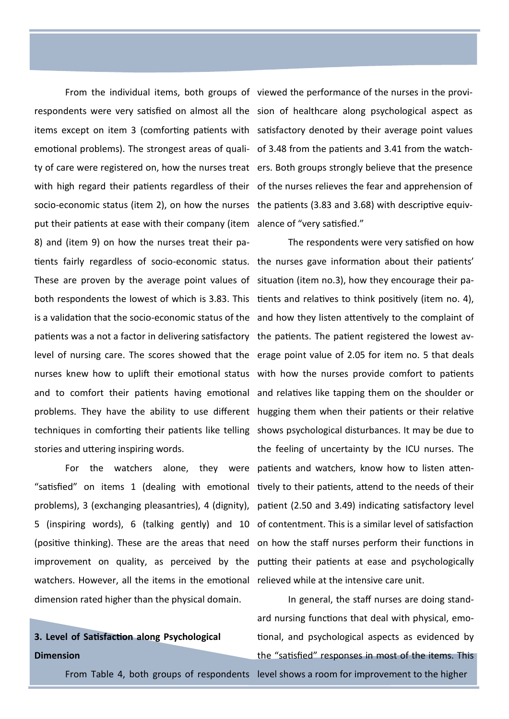emotional problems). The strongest areas of quali- of 3.48 from the patients and 3.41 from the watchsocio-economic status (item 2), on how the nurses the patients (3.83 and 3.68) with descriptive equivput their patients at ease with their company (item alence of "very satisfied." 8) and (item 9) on how the nurses treat their pa-These are proven by the average point values of situation (item no.3), how they encourage their papatients was a not a factor in delivering satisfactory the patients. The patient registered the lowest avstories and uttering inspiring words.

watchers. However, all the items in the emotional relieved while at the intensive care unit. dimension rated higher than the physical domain.

# **3. Level of Satisfaction along Psychological Dimension**

From the individual items, both groups of viewed the performance of the nurses in the provirespondents were very satisfied on almost all the sion of healthcare along psychological aspect as items except on item 3 (comforting patients with satisfactory denoted by their average point values ty of care were registered on, how the nurses treat ers. Both groups strongly believe that the presence with high regard their patients regardless of their of the nurses relieves the fear and apprehension of

tients fairly regardless of socio-economic status. the nurses gave information about their patients' both respondents the lowest of which is 3.83. This tients and relatives to think positively (item no. 4), is a validation that the socio-economic status of the and how they listen attentively to the complaint of level of nursing care. The scores showed that the erage point value of 2.05 for item no. 5 that deals nurses knew how to uplift their emotional status with how the nurses provide comfort to patients and to comfort their patients having emotional and relatives like tapping them on the shoulder or problems. They have the ability to use different hugging them when their patients or their relative techniques in comforting their patients like telling shows psychological disturbances. It may be due to For the watchers alone, they were patients and watchers, know how to listen atten-"satisfied" on items 1 (dealing with emotional tively to their patients, attend to the needs of their problems), 3 (exchanging pleasantries), 4 (dignity), patient (2.50 and 3.49) indicating satisfactory level 5 (inspiring words), 6 (talking gently) and 10 of contentment. This is a similar level of satisfaction (positive thinking). These are the areas that need on how the staff nurses perform their functions in improvement on quality, as perceived by the putting their patients at ease and psychologically The respondents were very satisfied on how the feeling of uncertainty by the ICU nurses. The

From Table 4, both groups of respondents level shows a room for improvement to the higher In general, the staff nurses are doing standard nursing functions that deal with physical, emotional, and psychological aspects as evidenced by the "satisfied" responses in most of the items. This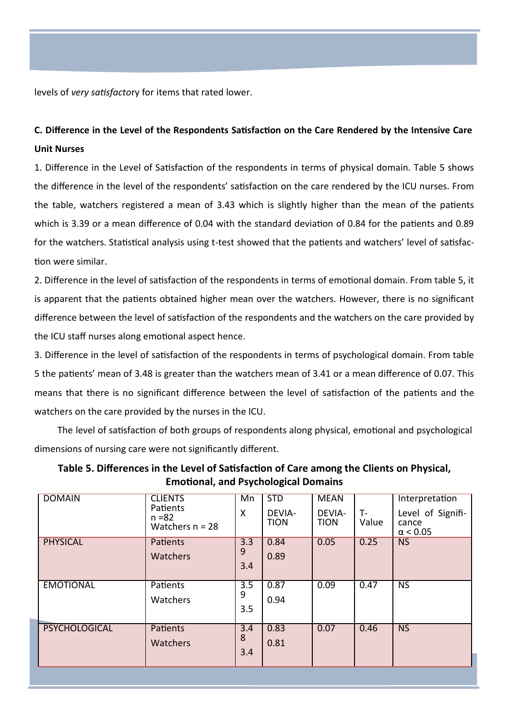levels of *very satisfacto*ry for items that rated lower.

# **C. Difference in the Level of the Respondents Satisfaction on the Care Rendered by the Intensive Care Unit Nurses**

1. Difference in the Level of Satisfaction of the respondents in terms of physical domain. Table 5 shows the difference in the level of the respondents' satisfaction on the care rendered by the ICU nurses. From the table, watchers registered a mean of 3.43 which is slightly higher than the mean of the patients which is 3.39 or a mean difference of 0.04 with the standard deviation of 0.84 for the patients and 0.89 for the watchers. Statistical analysis using t-test showed that the patients and watchers' level of satisfaction were similar.

2. Difference in the level of satisfaction of the respondents in terms of emotional domain. From table 5, it is apparent that the patients obtained higher mean over the watchers. However, there is no significant difference between the level of satisfaction of the respondents and the watchers on the care provided by the ICU staff nurses along emotional aspect hence.

3. Difference in the level of satisfaction of the respondents in terms of psychological domain. From table 5 the patients' mean of 3.48 is greater than the watchers mean of 3.41 or a mean difference of 0.07. This means that there is no significant difference between the level of satisfaction of the patients and the watchers on the care provided by the nurses in the ICU.

The level of satisfaction of both groups of respondents along physical, emotional and psychological dimensions of nursing care were not significantly different.

| Table 5. Differences in the Level of Satisfaction of Care among the Clients on Physical, |
|------------------------------------------------------------------------------------------|
| <b>Emotional, and Psychological Domains</b>                                              |

| <b>DOMAIN</b>        | <b>CLIENTS</b><br>Patients<br>$n = 82$<br>Watchers $n = 28$ | Mn<br>Χ                      | <b>STD</b><br>DEVIA-<br><b>TION</b> | <b>MEAN</b><br>DEVIA-<br><b>TION</b> | $T -$<br>Value | Interpretation<br>Level of Signifi-<br>cance<br>$\alpha$ < 0.05 |
|----------------------|-------------------------------------------------------------|------------------------------|-------------------------------------|--------------------------------------|----------------|-----------------------------------------------------------------|
| <b>PHYSICAL</b>      | <b>Patients</b><br><b>Watchers</b>                          | 3.3<br>9<br>3.4              | 0.84<br>0.89                        | 0.05                                 | 0.25           | <b>NS</b>                                                       |
| <b>EMOTIONAL</b>     | <b>Patients</b><br>Watchers                                 | 3.5<br>9<br>3.5              | 0.87<br>0.94                        | 0.09                                 | 0.47           | <b>NS</b>                                                       |
| <b>PSYCHOLOGICAL</b> | <b>Patients</b><br><b>Watchers</b>                          | $\overline{3.4}$<br>8<br>3.4 | 0.83<br>0.81                        | 0.07                                 | 0.46           | N <sub>S</sub>                                                  |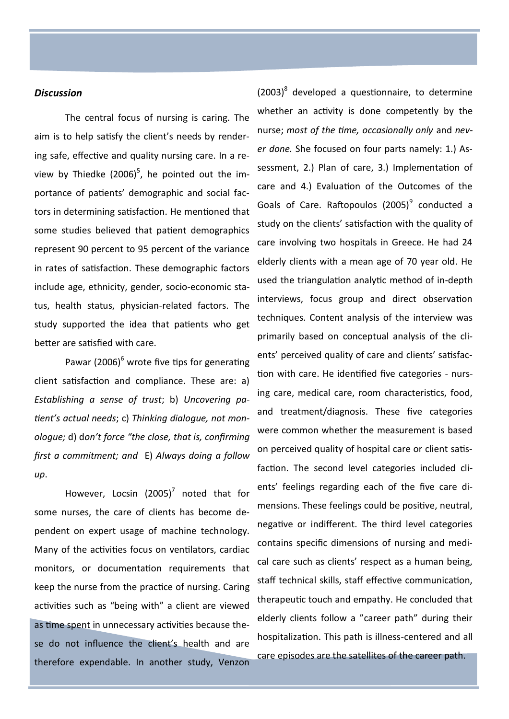#### *Discussion*

The central focus of nursing is caring. The aim is to help satisfy the client's needs by rendering safe, effective and quality nursing care. In a review by Thiedke (2006) $^5$ , he pointed out the importance of patients' demographic and social factors in determining satisfaction. He mentioned that some studies believed that patient demographics represent 90 percent to 95 percent of the variance in rates of satisfaction. These demographic factors include age, ethnicity, gender, socio-economic status, health status, physician-related factors. The study supported the idea that patients who get better are satisfied with care.

Pawar (2006)<sup>6</sup> wrote five tips for generating client satisfaction and compliance. These are: a) *Establishing a sense of trust*; b) *Uncovering patient's actual needs*; c) *Thinking dialogue, not monologue;* d) d*on't force "the close, that is, confirming first a commitment; and* E) *Always doing a follow up*.

However, Locsin  $(2005)^7$  noted that for some nurses, the care of clients has become dependent on expert usage of machine technology. Many of the activities focus on ventilators, cardiac monitors, or documentation requirements that keep the nurse from the practice of nursing. Caring activities such as "being with" a client are viewed as time spent in unnecessary activities because these do not influence the client's health and are therefore expendable. In another study, Venzon

 $(2003)^8$  developed a questionnaire, to determine whether an activity is done competently by the nurse; *most of the time, occasionally only* and *never done.* She focused on four parts namely: 1.) Assessment, 2.) Plan of care, 3.) Implementation of care and 4.) Evaluation of the Outcomes of the Goals of Care. Raftopoulos (2005)<sup>9</sup> conducted a study on the clients' satisfaction with the quality of care involving two hospitals in Greece. He had 24 elderly clients with a mean age of 70 year old. He used the triangulation analytic method of in-depth interviews, focus group and direct observation techniques. Content analysis of the interview was primarily based on conceptual analysis of the clients' perceived quality of care and clients' satisfaction with care. He identified five categories - nursing care, medical care, room characteristics, food, and treatment/diagnosis. These five categories were common whether the measurement is based on perceived quality of hospital care or client satisfaction. The second level categories included clients' feelings regarding each of the five care dimensions. These feelings could be positive, neutral, negative or indifferent. The third level categories contains specific dimensions of nursing and medical care such as clients' respect as a human being, staff technical skills, staff effective communication, therapeutic touch and empathy. He concluded that elderly clients follow a "career path" during their hospitalization. This path is illness-centered and all care episodes are the satellites of the career path.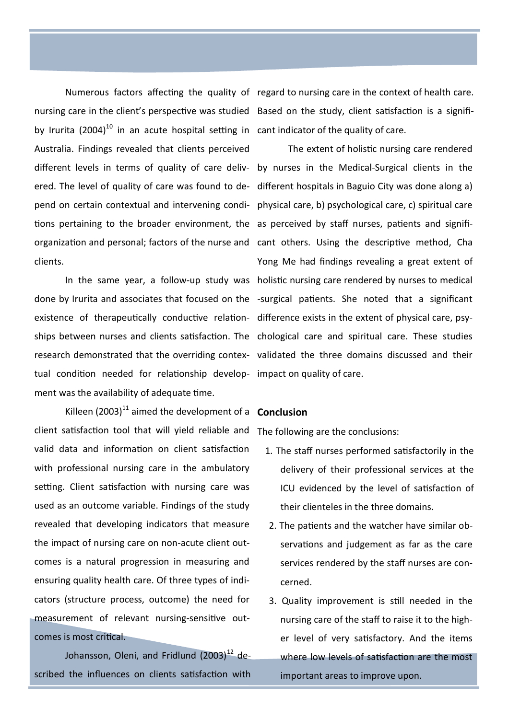by Irurita (2004)<sup>10</sup> in an acute hospital setting in cant indicator of the quality of care. Australia. Findings revealed that clients perceived tions pertaining to the broader environment, the as perceived by staff nurses, patients and significlients.

existence of therapeutically conductive relation- difference exists in the extent of physical care, psytual condition needed for relationship develop-impact on quality of care. ment was the availability of adequate time.

Killeen (2003)<sup>11</sup> aimed the development of a **Conclusion** client satisfaction tool that will yield reliable and The following are the conclusions: valid data and information on client satisfaction with professional nursing care in the ambulatory setting. Client satisfaction with nursing care was used as an outcome variable. Findings of the study revealed that developing indicators that measure the impact of nursing care on non-acute client outcomes is a natural progression in measuring and ensuring quality health care. Of three types of indicators (structure process, outcome) the need for measurement of relevant nursing-sensitive outcomes is most critical.

Johansson, Oleni, and Fridlund  $(2003)^{12}$  described the influences on clients satisfaction with

Numerous factors affecting the quality of regard to nursing care in the context of health care. nursing care in the client's perspective was studied Based on the study, client satisfaction is a signifi-

different levels in terms of quality of care deliv-by nurses in the Medical-Surgical clients in the ered. The level of quality of care was found to de-different hospitals in Baguio City was done along a) pend on certain contextual and intervening condi- physical care, b) psychological care, c) spiritual care organization and personal; factors of the nurse and cant others. Using the descriptive method, Cha In the same year, a follow-up study was holistic nursing care rendered by nurses to medical done by Irurita and associates that focused on the -surgical patients. She noted that a significant ships between nurses and clients satisfaction. The chological care and spiritual care. These studies research demonstrated that the overriding contex- validated the three domains discussed and their The extent of holistic nursing care rendered Yong Me had findings revealing a great extent of

- 1. The staff nurses performed satisfactorily in the delivery of their professional services at the ICU evidenced by the level of satisfaction of their clienteles in the three domains.
- 2. The patients and the watcher have similar observations and judgement as far as the care services rendered by the staff nurses are concerned.
- 3. Quality improvement is still needed in the nursing care of the staff to raise it to the higher level of very satisfactory. And the items where low levels of satisfaction are the most important areas to improve upon.